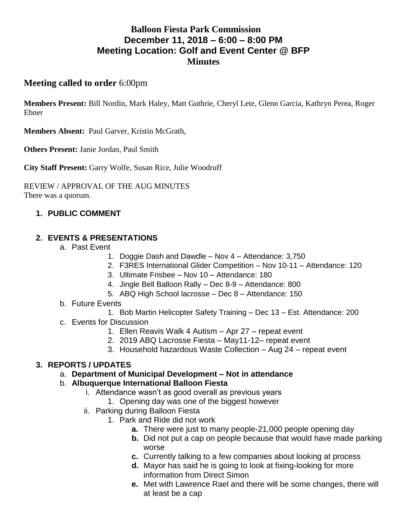# **Balloon Fiesta Park Commission December 11, 2018 – 6:00 – 8:00 PM Meeting Location: Golf and Event Center @ BFP Minutes**

### **Meeting called to order** 6:00pm

**Members Present:** Bill Nordin, Mark Haley, Matt Guthrie, Cheryl Lete, Glenn Garcia, Kathryn Perea, Roger Ebner

**Members Absent:** Paul Garver, Kristin McGrath,

**Others Present:** Janie Jordan, Paul Smith

**City Staff Present:** Garry Wolfe, Susan Rice, Julie Woodruff

REVIEW / APPROVAL OF THE AUG MINUTES There was a quorum.

## **1. PUBLIC COMMENT**

### **2. EVENTS & PRESENTATIONS**

- a. Past Event
	- 1. Doggie Dash and Dawdle Nov 4 Attendance: 3,750
	- 2. F3RES International Glider Competition Nov 10-11 Attendance: 120
	- 3. Ultimate Frisbee Nov 10 Attendance: 180
	- 4. Jingle Bell Balloon Rally Dec 8-9 Attendance: 800
	- 5. ABQ High School lacrosse Dec 8 Attendance: 150
- b. Future Events
	- 1. Bob Martin Helicopter Safety Training Dec 13 Est. Attendance: 200
- c. Events for Discussion
	- 1. Ellen Reavis Walk 4 Autism Apr 27 repeat event
	- 2. 2019 ABQ Lacrosse Fiesta May11-12– repeat event
	- 3. Household hazardous Waste Collection Aug 24 repeat event

### **3. REPORTS / UPDATES**

a. **Department of Municipal Development – Not in attendance**

### b. **Albuquerque International Balloon Fiesta**

- i. Attendance wasn't as good overall as previous years
	- 1. Opening day was one of the biggest however
- ii. Parking during Balloon Fiesta
	- 1. Park and Ride did not work
		- **a.** There were just to many people-21,000 people opening day
		- **b.** Did not put a cap on people because that would have made parking worse
		- **c.** Currently talking to a few companies about looking at process
		- **d.** Mayor has said he is going to look at fixing-looking for more information from Direct Simon
		- **e.** Met with Lawrence Rael and there will be some changes, there will at least be a cap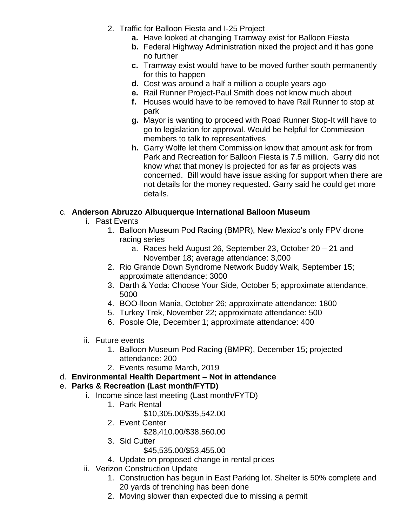- 2. Traffic for Balloon Fiesta and I-25 Project
	- **a.** Have looked at changing Tramway exist for Balloon Fiesta
	- **b.** Federal Highway Administration nixed the project and it has gone no further
	- **c.** Tramway exist would have to be moved further south permanently for this to happen
	- **d.** Cost was around a half a million a couple years ago
	- **e.** Rail Runner Project-Paul Smith does not know much about
	- **f.** Houses would have to be removed to have Rail Runner to stop at park
	- **g.** Mayor is wanting to proceed with Road Runner Stop-It will have to go to legislation for approval. Would be helpful for Commission members to talk to representatives
	- **h.** Garry Wolfe let them Commission know that amount ask for from Park and Recreation for Balloon Fiesta is 7.5 million. Garry did not know what that money is projected for as far as projects was concerned. Bill would have issue asking for support when there are not details for the money requested. Garry said he could get more details.

## c. **Anderson Abruzzo Albuquerque International Balloon Museum**

- i. Past Events
	- 1. Balloon Museum Pod Racing (BMPR), New Mexico's only FPV drone racing series
		- a. Races held August 26, September 23, October 20 21 and November 18; average attendance: 3,000
	- 2. Rio Grande Down Syndrome Network Buddy Walk, September 15; approximate attendance: 3000
	- 3. Darth & Yoda: Choose Your Side, October 5; approximate attendance, 5000
	- 4. BOO-lloon Mania, October 26; approximate attendance: 1800
	- 5. Turkey Trek, November 22; approximate attendance: 500
	- 6. Posole Ole, December 1; approximate attendance: 400
- ii. Future events
	- 1. Balloon Museum Pod Racing (BMPR), December 15; projected attendance: 200
	- 2. Events resume March, 2019
- d. **Environmental Health Department – Not in attendance**

## e. **Parks & Recreation (Last month/FYTD)**

- i. Income since last meeting (Last month/FYTD)
	- 1. Park Rental
		- \$10,305.00/\$35,542.00
	- 2. Event Center
		- \$28,410.00/\$38,560.00
	- 3. Sid Cutter
		- \$45,535.00/\$53,455.00
	- 4. Update on proposed change in rental prices
- ii. Verizon Construction Update
	- 1. Construction has begun in East Parking lot. Shelter is 50% complete and 20 yards of trenching has been done
	- 2. Moving slower than expected due to missing a permit